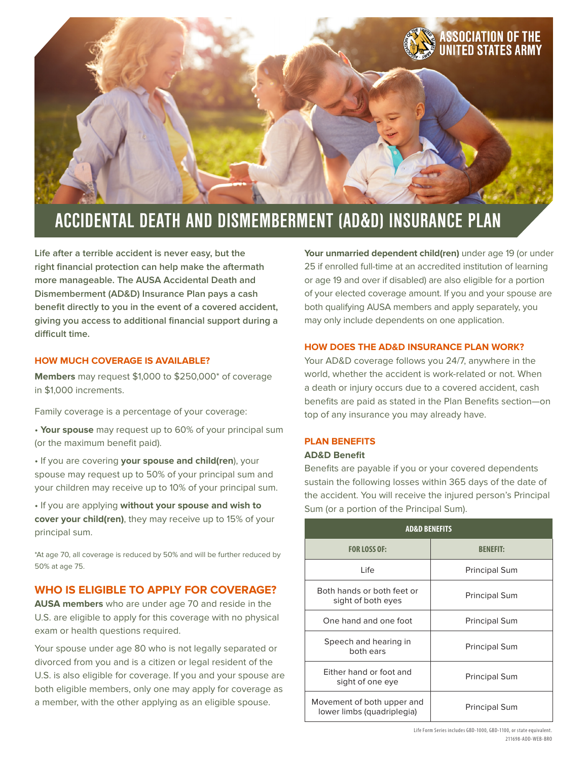

# **ACCIDENTAL DEATH AND DISMEMBERMENT (AD&D) INSURANCE PLAN**

**Life after a terrible accident is never easy, but the right financial protection can help make the aftermath more manageable. The AUSA Accidental Death and Dismemberment (AD&D) Insurance Plan pays a cash benefit directly to you in the event of a covered accident, giving you access to additional financial support during a difficult time.**

#### **HOW MUCH COVERAGE IS AVAILABLE?**

**Members** may request \$1,000 to \$250,000\* of coverage in \$1,000 increments.

Family coverage is a percentage of your coverage:

• **Your spouse** may request up to 60% of your principal sum (or the maximum benefit paid).

• If you are covering **your spouse and child(ren**), your spouse may request up to 50% of your principal sum and your children may receive up to 10% of your principal sum.

• If you are applying **without your spouse and wish to cover your child(ren)**, they may receive up to 15% of your principal sum.

\*At age 70, all coverage is reduced by 50% and will be further reduced by 50% at age 75.

### **WHO IS ELIGIBLE TO APPLY FOR COVERAGE?**

**AUSA members** who are under age 70 and reside in the U.S. are eligible to apply for this coverage with no physical exam or health questions required.

Your spouse under age 80 who is not legally separated or divorced from you and is a citizen or legal resident of the U.S. is also eligible for coverage. If you and your spouse are both eligible members, only one may apply for coverage as a member, with the other applying as an eligible spouse.

**Your unmarried dependent child(ren)** under age 19 (or under 25 if enrolled full-time at an accredited institution of learning or age 19 and over if disabled) are also eligible for a portion of your elected coverage amount. If you and your spouse are both qualifying AUSA members and apply separately, you may only include dependents on one application.

#### **HOW DOES THE AD&D INSURANCE PLAN WORK?**

Your AD&D coverage follows you 24/7, anywhere in the world, whether the accident is work-related or not. When a death or injury occurs due to a covered accident, cash benefits are paid as stated in the Plan Benefits section—on top of any insurance you may already have.

#### **PLAN BENEFITS**

#### **AD&D Benefit**

Benefits are payable if you or your covered dependents sustain the following losses within 365 days of the date of the accident. You will receive the injured person's Principal Sum (or a portion of the Principal Sum).

| <b>AD&amp;D BENEFITS</b>                                 |                      |  |
|----------------------------------------------------------|----------------------|--|
| <b>FOR LOSS OF:</b>                                      | <b>RENEELE</b>       |  |
| Life                                                     | <b>Principal Sum</b> |  |
| Both hands or both feet or<br>sight of both eyes         | <b>Principal Sum</b> |  |
| One hand and one foot                                    | <b>Principal Sum</b> |  |
| Speech and hearing in<br>both ears                       | <b>Principal Sum</b> |  |
| Either hand or foot and<br>sight of one eye              | <b>Principal Sum</b> |  |
| Movement of both upper and<br>lower limbs (quadriplegia) | <b>Principal Sum</b> |  |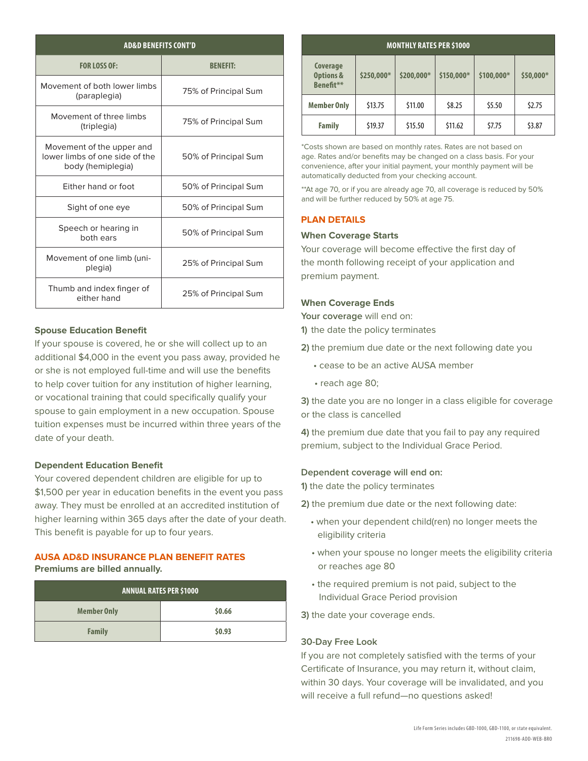| <b>AD&amp;D BENEFITS CONT'D</b>                                                  |                      |  |
|----------------------------------------------------------------------------------|----------------------|--|
| <b>FOR LOSS OF:</b>                                                              | <b>BENEFIT:</b>      |  |
| Movement of both lower limbs<br>(paraplegia)                                     | 75% of Principal Sum |  |
| Movement of three limbs<br>(triplegia)                                           | 75% of Principal Sum |  |
| Movement of the upper and<br>lower limbs of one side of the<br>body (hemiplegia) | 50% of Principal Sum |  |
| Either hand or foot                                                              | 50% of Principal Sum |  |
| Sight of one eye                                                                 | 50% of Principal Sum |  |
| Speech or hearing in<br>both ears                                                | 50% of Principal Sum |  |
| Movement of one limb (uni-<br>plegia)                                            | 25% of Principal Sum |  |
| Thumb and index finger of<br>either hand                                         | 25% of Principal Sum |  |

#### **Spouse Education Benefit**

If your spouse is covered, he or she will collect up to an additional \$4,000 in the event you pass away, provided he or she is not employed full-time and will use the benefits to help cover tuition for any institution of higher learning, or vocational training that could specifically qualify your spouse to gain employment in a new occupation. Spouse tuition expenses must be incurred within three years of the date of your death.

#### **Dependent Education Benefit**

Your covered dependent children are eligible for up to \$1,500 per year in education benefits in the event you pass away. They must be enrolled at an accredited institution of higher learning within 365 days after the date of your death. This benefit is payable for up to four years.

#### **AUSA AD&D INSURANCE PLAN BENEFIT RATES Premiums are billed annually.**

| <b>ANNUAL RATES PER \$1000</b> |        |  |
|--------------------------------|--------|--|
| <b>Member Only</b>             | \$0.66 |  |
| <b>Family</b>                  | \$0.93 |  |

## **MONTHLY RATES PER \$1000 Coverage Options & Benefit\*\* \$250,000\* \$200,000\* \$150,000\* \$100,000\* \$50,000\* Member Only** | \$13.75 | \$11.00 | \$8.25 | \$5.50 | \$2.75 **Family** \$19.37 \$15.50 \$11.62 \$7.75 \$3.87

\*Costs shown are based on monthly rates. Rates are not based on age. Rates and/or benefits may be changed on a class basis. For your convenience, after your initial payment, your monthly payment will be automatically deducted from your checking account.

\*\*At age 70, or if you are already age 70, all coverage is reduced by 50% and will be further reduced by 50% at age 75.

#### **PLAN DETAILS**

#### **When Coverage Starts**

Your coverage will become effective the first day of the month following receipt of your application and premium payment.

#### **When Coverage Ends**

**Your coverage** will end on:

**1)** the date the policy terminates

**2)** the premium due date or the next following date you

- cease to be an active AUSA member
- reach age 80;

**3)** the date you are no longer in a class eligible for coverage or the class is cancelled

**4)** the premium due date that you fail to pay any required premium, subject to the Individual Grace Period.

#### **Dependent coverage will end on:**

**1)** the date the policy terminates

**2)** the premium due date or the next following date:

- when your dependent child(ren) no longer meets the eligibility criteria
- when your spouse no longer meets the eligibility criteria or reaches age 80
- the required premium is not paid, subject to the Individual Grace Period provision

**3)** the date your coverage ends.

#### **30-Day Free Look**

If you are not completely satisfied with the terms of your Certificate of Insurance, you may return it, without claim, within 30 days. Your coverage will be invalidated, and you will receive a full refund—no questions asked!